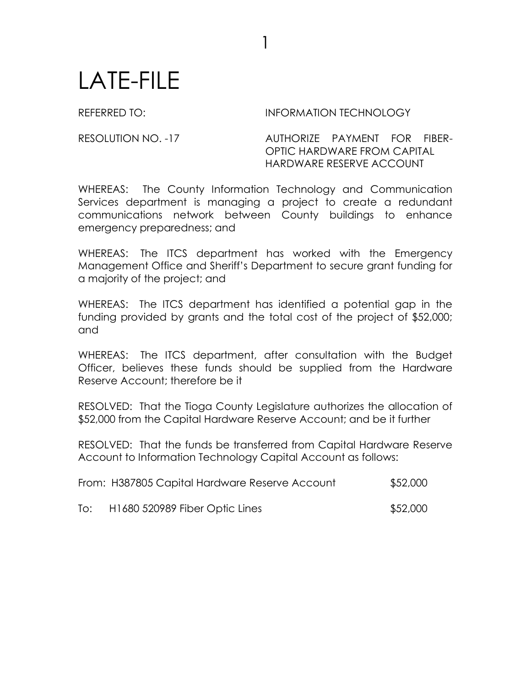## LATE-FILE

REFERRED TO: **INFORMATION TECHNOLOGY** 

RESOLUTION NO. -17 AUTHORIZE PAYMENT FOR FIBER-OPTIC HARDWARE FROM CAPITAL HARDWARE RESERVE ACCOUNT

WHEREAS: The County Information Technology and Communication Services department is managing a project to create a redundant communications network between County buildings to enhance emergency preparedness; and

1

WHEREAS: The ITCS department has worked with the Emergency Management Office and Sheriff's Department to secure grant funding for a majority of the project; and

WHEREAS: The ITCS department has identified a potential gap in the funding provided by grants and the total cost of the project of \$52,000; and

WHEREAS: The ITCS department, after consultation with the Budget Officer, believes these funds should be supplied from the Hardware Reserve Account; therefore be it

RESOLVED: That the Tioga County Legislature authorizes the allocation of \$52,000 from the Capital Hardware Reserve Account; and be it further

RESOLVED: That the funds be transferred from Capital Hardware Reserve Account to Information Technology Capital Account as follows:

|     | From: H387805 Capital Hardware Reserve Account | \$52,000 |
|-----|------------------------------------------------|----------|
| To: | H1680 520989 Fiber Optic Lines                 | \$52,000 |